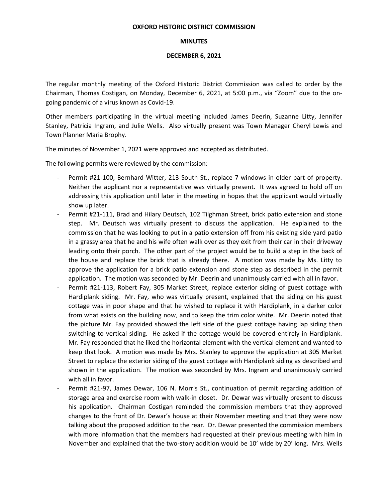## **OXFORD HISTORIC DISTRICT COMMISSION**

## **MINUTES**

## **DECEMBER 6, 2021**

The regular monthly meeting of the Oxford Historic District Commission was called to order by the Chairman, Thomas Costigan, on Monday, December 6, 2021, at 5:00 p.m., via "Zoom" due to the ongoing pandemic of a virus known as Covid-19.

Other members participating in the virtual meeting included James Deerin, Suzanne Litty, Jennifer Stanley, Patricia Ingram, and Julie Wells. Also virtually present was Town Manager Cheryl Lewis and Town Planner Maria Brophy.

The minutes of November 1, 2021 were approved and accepted as distributed.

The following permits were reviewed by the commission:

- Permit #21-100, Bernhard Witter, 213 South St., replace 7 windows in older part of property. Neither the applicant nor a representative was virtually present. It was agreed to hold off on addressing this application until later in the meeting in hopes that the applicant would virtually show up later.
- Permit #21-111, Brad and Hilary Deutsch, 102 Tilghman Street, brick patio extension and stone step. Mr. Deutsch was virtually present to discuss the application. He explained to the commission that he was looking to put in a patio extension off from his existing side yard patio in a grassy area that he and his wife often walk over as they exit from their car in their driveway leading onto their porch. The other part of the project would be to build a step in the back of the house and replace the brick that is already there. A motion was made by Ms. Litty to approve the application for a brick patio extension and stone step as described in the permit application. The motion was seconded by Mr. Deerin and unanimously carried with all in favor.
- Permit #21-113, Robert Fay, 305 Market Street, replace exterior siding of guest cottage with Hardiplank siding. Mr. Fay, who was virtually present, explained that the siding on his guest cottage was in poor shape and that he wished to replace it with Hardiplank, in a darker color from what exists on the building now, and to keep the trim color white. Mr. Deerin noted that the picture Mr. Fay provided showed the left side of the guest cottage having lap siding then switching to vertical siding. He asked if the cottage would be covered entirely in Hardiplank. Mr. Fay responded that he liked the horizontal element with the vertical element and wanted to keep that look. A motion was made by Mrs. Stanley to approve the application at 305 Market Street to replace the exterior siding of the guest cottage with Hardiplank siding as described and shown in the application. The motion was seconded by Mrs. Ingram and unanimously carried with all in favor.
- Permit #21-97, James Dewar, 106 N. Morris St., continuation of permit regarding addition of storage area and exercise room with walk-in closet. Dr. Dewar was virtually present to discuss his application. Chairman Costigan reminded the commission members that they approved changes to the front of Dr. Dewar's house at their November meeting and that they were now talking about the proposed addition to the rear. Dr. Dewar presented the commission members with more information that the members had requested at their previous meeting with him in November and explained that the two-story addition would be 10' wide by 20' long. Mrs. Wells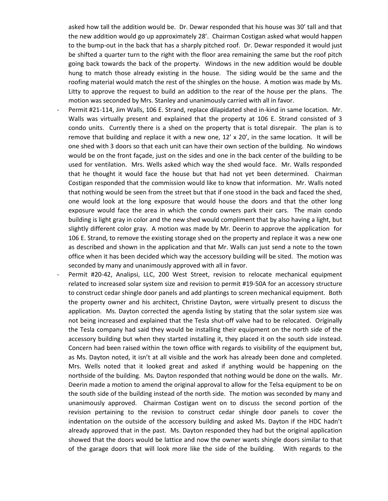asked how tall the addition would be. Dr. Dewar responded that his house was 30' tall and that the new addition would go up approximately 28'. Chairman Costigan asked what would happen to the bump-out in the back that has a sharply pitched roof. Dr. Dewar responded it would just be shifted a quarter turn to the right with the floor area remaining the same but the roof pitch going back towards the back of the property. Windows in the new addition would be double hung to match those already existing in the house. The siding would be the same and the roofing material would match the rest of the shingles on the house. A motion was made by Ms. Litty to approve the request to build an addition to the rear of the house per the plans. The motion was seconded by Mrs. Stanley and unanimously carried with all in favor.

- Permit #21-114, Jim Walls, 106 E. Strand, replace dilapidated shed in-kind in same location. Mr. Walls was virtually present and explained that the property at 106 E. Strand consisted of 3 condo units. Currently there is a shed on the property that is total disrepair. The plan is to remove that building and replace it with a new one,  $12' \times 20'$ , in the same location. It will be one shed with 3 doors so that each unit can have their own section of the building. No windows would be on the front façade, just on the sides and one in the back center of the building to be used for ventilation. Mrs. Wells asked which way the shed would face. Mr. Walls responded that he thought it would face the house but that had not yet been determined. Chairman Costigan responded that the commission would like to know that information. Mr. Walls noted that nothing would be seen from the street but that if one stood in the back and faced the shed, one would look at the long exposure that would house the doors and that the other long exposure would face the area in which the condo owners park their cars. The main condo building is light gray in color and the new shed would compliment that by also having a light, but slightly different color gray. A motion was made by Mr. Deerin to approve the application for 106 E. Strand, to remove the existing storage shed on the property and replace it was a new one as described and shown in the application and that Mr. Walls can just send a note to the town office when it has been decided which way the accessory building will be sited. The motion was seconded by many and unanimously approved with all in favor.
- Permit #20-42, Analipsi, LLC, 200 West Street, revision to relocate mechanical equipment related to increased solar system size and revision to permit #19-50A for an accessory structure to construct cedar shingle door panels and add plantings to screen mechanical equipment. Both the property owner and his architect, Christine Dayton, were virtually present to discuss the application. Ms. Dayton corrected the agenda listing by stating that the solar system size was not being increased and explained that the Tesla shut-off valve had to be relocated. Originally the Tesla company had said they would be installing their equipment on the north side of the accessory building but when they started installing it, they placed it on the south side instead. Concern had been raised within the town office with regards to visibility of the equipment but, as Ms. Dayton noted, it isn't at all visible and the work has already been done and completed. Mrs. Wells noted that it looked great and asked if anything would be happening on the northside of the building. Ms. Dayton responded that nothing would be done on the walls. Mr. Deerin made a motion to amend the original approval to allow for the Telsa equipment to be on the south side of the building instead of the north side. The motion was seconded by many and unanimously approved. Chairman Costigan went on to discuss the second portion of the revision pertaining to the revision to construct cedar shingle door panels to cover the indentation on the outside of the accessory building and asked Ms. Dayton if the HDC hadn't already approved that in the past. Ms. Dayton responded they had but the original application showed that the doors would be lattice and now the owner wants shingle doors similar to that of the garage doors that will look more like the side of the building. With regards to the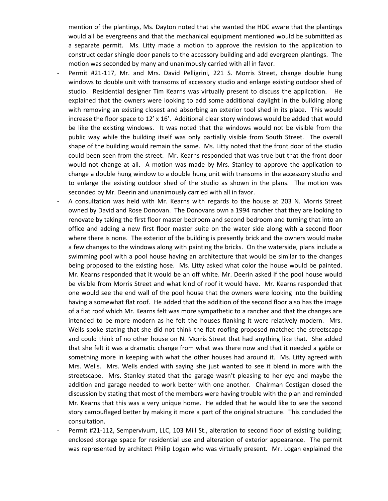mention of the plantings, Ms. Dayton noted that she wanted the HDC aware that the plantings would all be evergreens and that the mechanical equipment mentioned would be submitted as a separate permit. Ms. Litty made a motion to approve the revision to the application to construct cedar shingle door panels to the accessory building and add evergreen plantings. The motion was seconded by many and unanimously carried with all in favor.

- Permit #21-117, Mr. and Mrs. David Pelligrini, 221 S. Morris Street, change double hung windows to double unit with transoms of accessory studio and enlarge existing outdoor shed of studio. Residential designer Tim Kearns was virtually present to discuss the application. He explained that the owners were looking to add some additional daylight in the building along with removing an existing closest and absorbing an exterior tool shed in its place. This would increase the floor space to 12' x 16'. Additional clear story windows would be added that would be like the existing windows. It was noted that the windows would not be visible from the public way while the building itself was only partially visible from South Street. The overall shape of the building would remain the same. Ms. Litty noted that the front door of the studio could been seen from the street. Mr. Kearns responded that was true but that the front door would not change at all. A motion was made by Mrs. Stanley to approve the application to change a double hung window to a double hung unit with transoms in the accessory studio and to enlarge the existing outdoor shed of the studio as shown in the plans. The motion was seconded by Mr. Deerin and unanimously carried with all in favor.
- A consultation was held with Mr. Kearns with regards to the house at 203 N. Morris Street owned by David and Rose Donovan. The Donovans own a 1994 rancher that they are looking to renovate by taking the first floor master bedroom and second bedroom and turning that into an office and adding a new first floor master suite on the water side along with a second floor where there is none. The exterior of the building is presently brick and the owners would make a few changes to the windows along with painting the bricks. On the waterside, plans include a swimming pool with a pool house having an architecture that would be similar to the changes being proposed to the existing hose. Ms. Litty asked what color the house would be painted. Mr. Kearns responded that it would be an off white. Mr. Deerin asked if the pool house would be visible from Morris Street and what kind of roof it would have. Mr. Kearns responded that one would see the end wall of the pool house that the owners were looking into the building having a somewhat flat roof. He added that the addition of the second floor also has the image of a flat roof which Mr. Kearns felt was more sympathetic to a rancher and that the changes are intended to be more modern as he felt the houses flanking it were relatively modern. Mrs. Wells spoke stating that she did not think the flat roofing proposed matched the streetscape and could think of no other house on N. Morris Street that had anything like that. She added that she felt it was a dramatic change from what was there now and that it needed a gable or something more in keeping with what the other houses had around it. Ms. Litty agreed with Mrs. Wells. Mrs. Wells ended with saying she just wanted to see it blend in more with the streetscape. Mrs. Stanley stated that the garage wasn't pleasing to her eye and maybe the addition and garage needed to work better with one another. Chairman Costigan closed the discussion by stating that most of the members were having trouble with the plan and reminded Mr. Kearns that this was a very unique home. He added that he would like to see the second story camouflaged better by making it more a part of the original structure. This concluded the consultation.
- Permit #21-112, Sempervivum, LLC, 103 Mill St., alteration to second floor of existing building; enclosed storage space for residential use and alteration of exterior appearance. The permit was represented by architect Philip Logan who was virtually present. Mr. Logan explained the